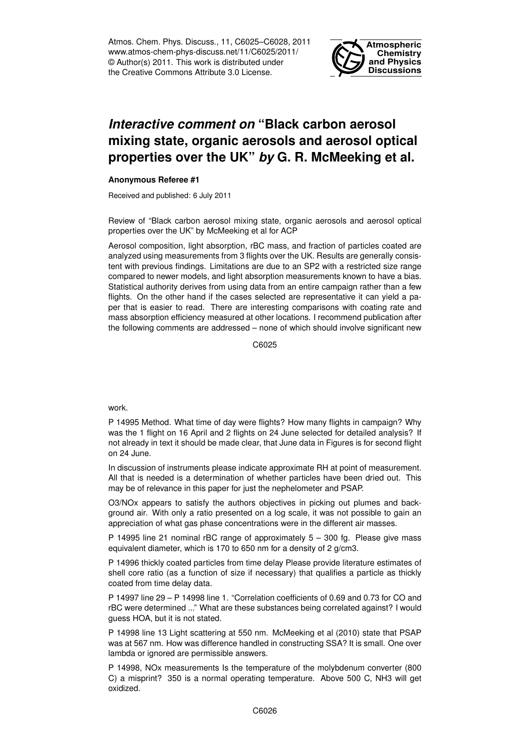Atmos. Chem. Phys. Discuss., 11, C6025–C6028, 2011 www.atmos-chem-phys-discuss.net/11/C6025/2011/ © Author(s) 2011. This work is distributed under the Creative Commons Attribute 3.0 License.



## *Interactive comment on* **"Black carbon aerosol mixing state, organic aerosols and aerosol optical properties over the UK"** *by* **G. R. McMeeking et al.**

## **Anonymous Referee #1**

Received and published: 6 July 2011

Review of "Black carbon aerosol mixing state, organic aerosols and aerosol optical properties over the UK" by McMeeking et al for ACP

Aerosol composition, light absorption, rBC mass, and fraction of particles coated are analyzed using measurements from 3 flights over the UK. Results are generally consistent with previous findings. Limitations are due to an SP2 with a restricted size range compared to newer models, and light absorption measurements known to have a bias. Statistical authority derives from using data from an entire campaign rather than a few flights. On the other hand if the cases selected are representative it can yield a paper that is easier to read. There are interesting comparisons with coating rate and mass absorption efficiency measured at other locations. I recommend publication after the following comments are addressed – none of which should involve significant new

C6025

work.

P 14995 Method. What time of day were flights? How many flights in campaign? Why was the 1 flight on 16 April and 2 flights on 24 June selected for detailed analysis? If not already in text it should be made clear, that June data in Figures is for second flight on 24 June.

In discussion of instruments please indicate approximate RH at point of measurement. All that is needed is a determination of whether particles have been dried out. This may be of relevance in this paper for just the nephelometer and PSAP.

O3/NOx appears to satisfy the authors objectives in picking out plumes and background air. With only a ratio presented on a log scale, it was not possible to gain an appreciation of what gas phase concentrations were in the different air masses.

P 14995 line 21 nominal rBC range of approximately 5 – 300 fg. Please give mass equivalent diameter, which is 170 to 650 nm for a density of 2 g/cm3.

P 14996 thickly coated particles from time delay Please provide literature estimates of shell core ratio (as a function of size if necessary) that qualifies a particle as thickly coated from time delay data.

P 14997 line 29 – P 14998 line 1. "Correlation coefficients of 0.69 and 0.73 for CO and rBC were determined ..." What are these substances being correlated against? I would guess HOA, but it is not stated.

P 14998 line 13 Light scattering at 550 nm. McMeeking et al (2010) state that PSAP was at 567 nm. How was difference handled in constructing SSA? It is small. One over lambda or ignored are permissible answers.

P 14998, NOx measurements Is the temperature of the molybdenum converter (800 C) a misprint? 350 is a normal operating temperature. Above 500 C, NH3 will get oxidized.